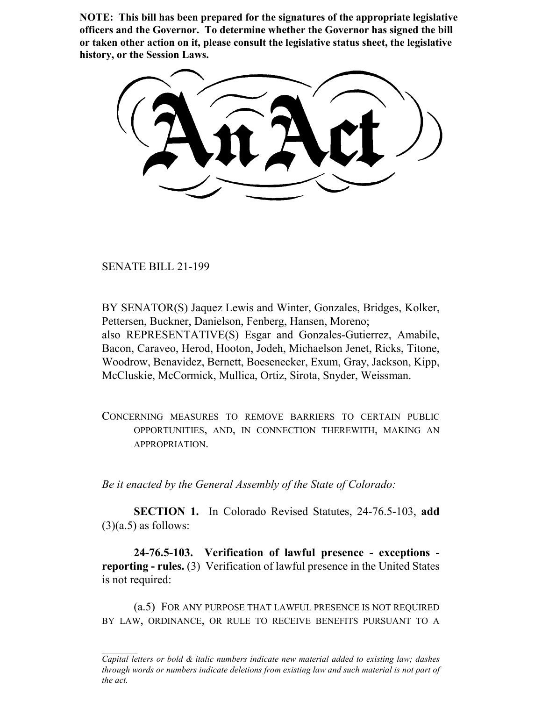**NOTE: This bill has been prepared for the signatures of the appropriate legislative officers and the Governor. To determine whether the Governor has signed the bill or taken other action on it, please consult the legislative status sheet, the legislative history, or the Session Laws.**

SENATE BILL 21-199

BY SENATOR(S) Jaquez Lewis and Winter, Gonzales, Bridges, Kolker, Pettersen, Buckner, Danielson, Fenberg, Hansen, Moreno; also REPRESENTATIVE(S) Esgar and Gonzales-Gutierrez, Amabile, Bacon, Caraveo, Herod, Hooton, Jodeh, Michaelson Jenet, Ricks, Titone, Woodrow, Benavidez, Bernett, Boesenecker, Exum, Gray, Jackson, Kipp, McCluskie, McCormick, Mullica, Ortiz, Sirota, Snyder, Weissman.

CONCERNING MEASURES TO REMOVE BARRIERS TO CERTAIN PUBLIC OPPORTUNITIES, AND, IN CONNECTION THEREWITH, MAKING AN APPROPRIATION.

*Be it enacted by the General Assembly of the State of Colorado:*

**SECTION 1.** In Colorado Revised Statutes, 24-76.5-103, **add**  $(3)(a.5)$  as follows:

**24-76.5-103. Verification of lawful presence - exceptions reporting - rules.** (3) Verification of lawful presence in the United States is not required:

(a.5) FOR ANY PURPOSE THAT LAWFUL PRESENCE IS NOT REQUIRED BY LAW, ORDINANCE, OR RULE TO RECEIVE BENEFITS PURSUANT TO A

*Capital letters or bold & italic numbers indicate new material added to existing law; dashes through words or numbers indicate deletions from existing law and such material is not part of the act.*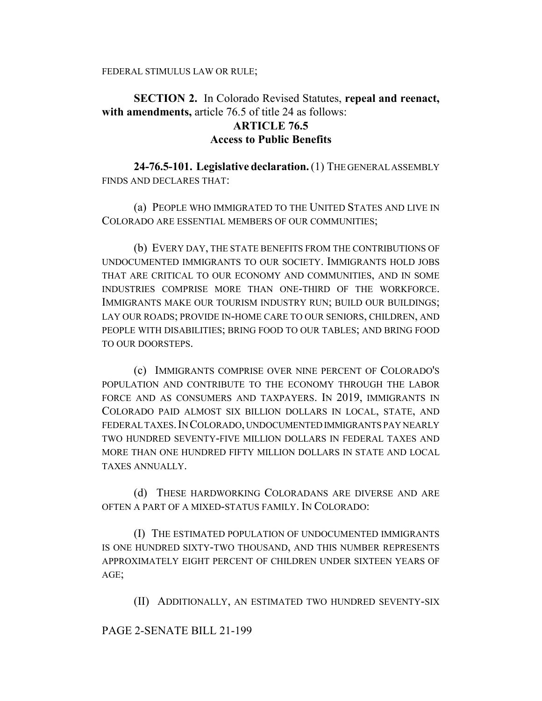## **SECTION 2.** In Colorado Revised Statutes, **repeal and reenact, with amendments,** article 76.5 of title 24 as follows: **ARTICLE 76.5 Access to Public Benefits**

**24-76.5-101. Legislative declaration.** (1) THE GENERAL ASSEMBLY FINDS AND DECLARES THAT:

(a) PEOPLE WHO IMMIGRATED TO THE UNITED STATES AND LIVE IN COLORADO ARE ESSENTIAL MEMBERS OF OUR COMMUNITIES;

(b) EVERY DAY, THE STATE BENEFITS FROM THE CONTRIBUTIONS OF UNDOCUMENTED IMMIGRANTS TO OUR SOCIETY. IMMIGRANTS HOLD JOBS THAT ARE CRITICAL TO OUR ECONOMY AND COMMUNITIES, AND IN SOME INDUSTRIES COMPRISE MORE THAN ONE-THIRD OF THE WORKFORCE. IMMIGRANTS MAKE OUR TOURISM INDUSTRY RUN; BUILD OUR BUILDINGS; LAY OUR ROADS; PROVIDE IN-HOME CARE TO OUR SENIORS, CHILDREN, AND PEOPLE WITH DISABILITIES; BRING FOOD TO OUR TABLES; AND BRING FOOD TO OUR DOORSTEPS.

(c) IMMIGRANTS COMPRISE OVER NINE PERCENT OF COLORADO'S POPULATION AND CONTRIBUTE TO THE ECONOMY THROUGH THE LABOR FORCE AND AS CONSUMERS AND TAXPAYERS. IN 2019, IMMIGRANTS IN COLORADO PAID ALMOST SIX BILLION DOLLARS IN LOCAL, STATE, AND FEDERAL TAXES.IN COLORADO, UNDOCUMENTED IMMIGRANTS PAY NEARLY TWO HUNDRED SEVENTY-FIVE MILLION DOLLARS IN FEDERAL TAXES AND MORE THAN ONE HUNDRED FIFTY MILLION DOLLARS IN STATE AND LOCAL TAXES ANNUALLY.

(d) THESE HARDWORKING COLORADANS ARE DIVERSE AND ARE OFTEN A PART OF A MIXED-STATUS FAMILY. IN COLORADO:

(I) THE ESTIMATED POPULATION OF UNDOCUMENTED IMMIGRANTS IS ONE HUNDRED SIXTY-TWO THOUSAND, AND THIS NUMBER REPRESENTS APPROXIMATELY EIGHT PERCENT OF CHILDREN UNDER SIXTEEN YEARS OF AGE;

(II) ADDITIONALLY, AN ESTIMATED TWO HUNDRED SEVENTY-SIX

## PAGE 2-SENATE BILL 21-199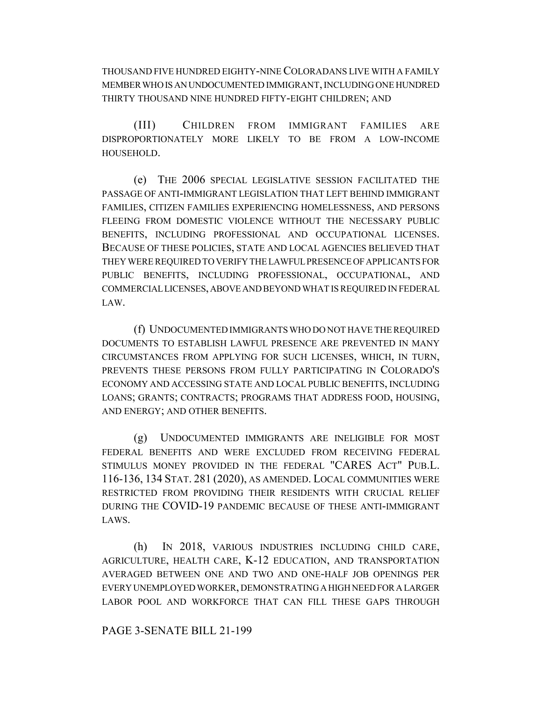THOUSAND FIVE HUNDRED EIGHTY-NINE COLORADANS LIVE WITH A FAMILY MEMBER WHO IS AN UNDOCUMENTED IMMIGRANT, INCLUDING ONE HUNDRED THIRTY THOUSAND NINE HUNDRED FIFTY-EIGHT CHILDREN; AND

(III) CHILDREN FROM IMMIGRANT FAMILIES ARE DISPROPORTIONATELY MORE LIKELY TO BE FROM A LOW-INCOME HOUSEHOLD.

(e) THE 2006 SPECIAL LEGISLATIVE SESSION FACILITATED THE PASSAGE OF ANTI-IMMIGRANT LEGISLATION THAT LEFT BEHIND IMMIGRANT FAMILIES, CITIZEN FAMILIES EXPERIENCING HOMELESSNESS, AND PERSONS FLEEING FROM DOMESTIC VIOLENCE WITHOUT THE NECESSARY PUBLIC BENEFITS, INCLUDING PROFESSIONAL AND OCCUPATIONAL LICENSES. BECAUSE OF THESE POLICIES, STATE AND LOCAL AGENCIES BELIEVED THAT THEY WERE REQUIRED TO VERIFY THE LAWFUL PRESENCE OF APPLICANTS FOR PUBLIC BENEFITS, INCLUDING PROFESSIONAL, OCCUPATIONAL, AND COMMERCIAL LICENSES, ABOVE AND BEYOND WHAT IS REQUIRED IN FEDERAL LAW.

(f) UNDOCUMENTED IMMIGRANTS WHO DO NOT HAVE THE REQUIRED DOCUMENTS TO ESTABLISH LAWFUL PRESENCE ARE PREVENTED IN MANY CIRCUMSTANCES FROM APPLYING FOR SUCH LICENSES, WHICH, IN TURN, PREVENTS THESE PERSONS FROM FULLY PARTICIPATING IN COLORADO'S ECONOMY AND ACCESSING STATE AND LOCAL PUBLIC BENEFITS, INCLUDING LOANS; GRANTS; CONTRACTS; PROGRAMS THAT ADDRESS FOOD, HOUSING, AND ENERGY; AND OTHER BENEFITS.

(g) UNDOCUMENTED IMMIGRANTS ARE INELIGIBLE FOR MOST FEDERAL BENEFITS AND WERE EXCLUDED FROM RECEIVING FEDERAL STIMULUS MONEY PROVIDED IN THE FEDERAL "CARES ACT" PUB.L. 116-136, 134 STAT. 281 (2020), AS AMENDED. LOCAL COMMUNITIES WERE RESTRICTED FROM PROVIDING THEIR RESIDENTS WITH CRUCIAL RELIEF DURING THE COVID-19 PANDEMIC BECAUSE OF THESE ANTI-IMMIGRANT LAWS.

(h) IN 2018, VARIOUS INDUSTRIES INCLUDING CHILD CARE, AGRICULTURE, HEALTH CARE, K-12 EDUCATION, AND TRANSPORTATION AVERAGED BETWEEN ONE AND TWO AND ONE-HALF JOB OPENINGS PER EVERY UNEMPLOYED WORKER, DEMONSTRATING A HIGH NEED FOR A LARGER LABOR POOL AND WORKFORCE THAT CAN FILL THESE GAPS THROUGH

## PAGE 3-SENATE BILL 21-199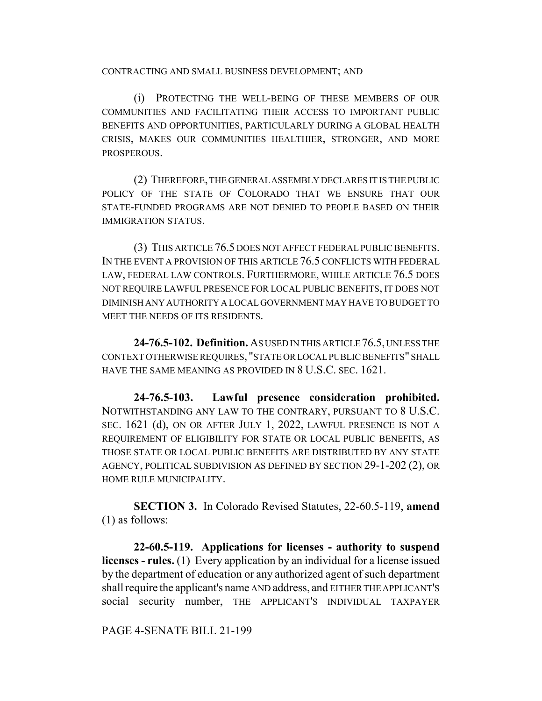CONTRACTING AND SMALL BUSINESS DEVELOPMENT; AND

(i) PROTECTING THE WELL-BEING OF THESE MEMBERS OF OUR COMMUNITIES AND FACILITATING THEIR ACCESS TO IMPORTANT PUBLIC BENEFITS AND OPPORTUNITIES, PARTICULARLY DURING A GLOBAL HEALTH CRISIS, MAKES OUR COMMUNITIES HEALTHIER, STRONGER, AND MORE PROSPEROUS.

(2) THEREFORE, THE GENERAL ASSEMBLY DECLARES IT IS THE PUBLIC POLICY OF THE STATE OF COLORADO THAT WE ENSURE THAT OUR STATE-FUNDED PROGRAMS ARE NOT DENIED TO PEOPLE BASED ON THEIR IMMIGRATION STATUS.

(3) THIS ARTICLE 76.5 DOES NOT AFFECT FEDERAL PUBLIC BENEFITS. IN THE EVENT A PROVISION OF THIS ARTICLE 76.5 CONFLICTS WITH FEDERAL LAW, FEDERAL LAW CONTROLS. FURTHERMORE, WHILE ARTICLE 76.5 DOES NOT REQUIRE LAWFUL PRESENCE FOR LOCAL PUBLIC BENEFITS, IT DOES NOT DIMINISH ANY AUTHORITY A LOCAL GOVERNMENT MAY HAVE TO BUDGET TO MEET THE NEEDS OF ITS RESIDENTS.

**24-76.5-102. Definition.** AS USED IN THIS ARTICLE 76.5, UNLESS THE CONTEXT OTHERWISE REQUIRES, "STATE OR LOCAL PUBLIC BENEFITS" SHALL HAVE THE SAME MEANING AS PROVIDED IN 8 U.S.C. SEC. 1621.

**24-76.5-103. Lawful presence consideration prohibited.** NOTWITHSTANDING ANY LAW TO THE CONTRARY, PURSUANT TO 8 U.S.C. SEC. 1621 (d), ON OR AFTER JULY 1, 2022, LAWFUL PRESENCE IS NOT A REQUIREMENT OF ELIGIBILITY FOR STATE OR LOCAL PUBLIC BENEFITS, AS THOSE STATE OR LOCAL PUBLIC BENEFITS ARE DISTRIBUTED BY ANY STATE AGENCY, POLITICAL SUBDIVISION AS DEFINED BY SECTION 29-1-202 (2), OR HOME RULE MUNICIPALITY.

**SECTION 3.** In Colorado Revised Statutes, 22-60.5-119, **amend** (1) as follows:

**22-60.5-119. Applications for licenses - authority to suspend licenses - rules.** (1) Every application by an individual for a license issued by the department of education or any authorized agent of such department shall require the applicant's name AND address, and EITHER THE APPLICANT'S social security number, THE APPLICANT'S INDIVIDUAL TAXPAYER

PAGE 4-SENATE BILL 21-199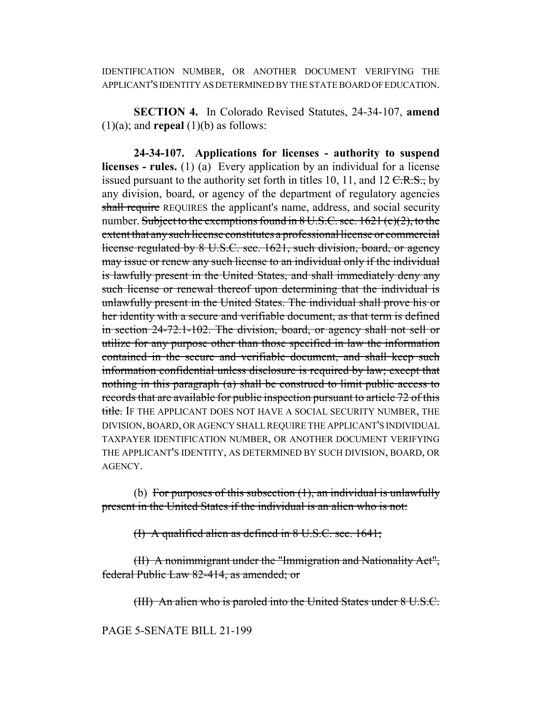IDENTIFICATION NUMBER, OR ANOTHER DOCUMENT VERIFYING THE APPLICANT'S IDENTITY AS DETERMINED BY THE STATE BOARD OF EDUCATION.

**SECTION 4.** In Colorado Revised Statutes, 24-34-107, **amend**  $(1)(a)$ ; and **repeal**  $(1)(b)$  as follows:

**24-34-107. Applications for licenses - authority to suspend licenses - rules.** (1) (a) Every application by an individual for a license issued pursuant to the authority set forth in titles 10, 11, and 12  $C.R.S.,$  by any division, board, or agency of the department of regulatory agencies shall require REQUIRES the applicant's name, address, and social security number. Subject to the exemptions found in  $8 \text{ U.S. C. sec. } 1621 \text{ (c)}(2)$ , to the extent that any such license constitutes a professional license or commercial license regulated by 8 U.S.C. sec. 1621, such division, board, or agency may issue or renew any such license to an individual only if the individual is lawfully present in the United States, and shall immediately deny any such license or renewal thereof upon determining that the individual is unlawfully present in the United States. The individual shall prove his or her identity with a secure and verifiable document, as that term is defined in section 24-72.1-102. The division, board, or agency shall not sell or utilize for any purpose other than those specified in law the information contained in the secure and verifiable document, and shall keep such information confidential unless disclosure is required by law; except that nothing in this paragraph (a) shall be construed to limit public access to records that are available for public inspection pursuant to article 72 of this title. IF THE APPLICANT DOES NOT HAVE A SOCIAL SECURITY NUMBER. THE DIVISION, BOARD, OR AGENCY SHALL REQUIRE THE APPLICANT'S INDIVIDUAL TAXPAYER IDENTIFICATION NUMBER, OR ANOTHER DOCUMENT VERIFYING THE APPLICANT'S IDENTITY, AS DETERMINED BY SUCH DIVISION, BOARD, OR AGENCY.

(b) For purposes of this subsection  $(1)$ , an individual is unlawfully present in the United States if the individual is an alien who is not:

(I) A qualified alien as defined in 8 U.S.C. sec. 1641;

(II) A nonimmigrant under the "Immigration and Nationality Act", federal Public Law 82-414, as amended; or

(III) An alien who is paroled into the United States under 8 U.S.C.

PAGE 5-SENATE BILL 21-199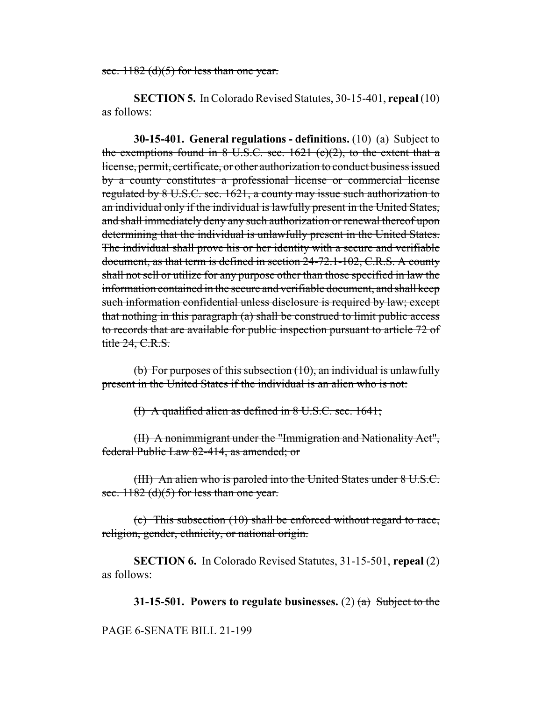sec.  $1182$  (d)(5) for less than one year.

**SECTION 5.** In Colorado Revised Statutes, 30-15-401, **repeal** (10) as follows:

**30-15-401. General regulations - definitions.** (10) (a) Subject to the exemptions found in  $8 \text{ U.S.C. sec. } 1621 \text{ (c)}(2)$ , to the extent that a license, permit, certificate, or other authorization to conduct business issued by a county constitutes a professional license or commercial license regulated by 8 U.S.C. sec. 1621, a county may issue such authorization to an individual only if the individual is lawfully present in the United States, and shall immediately deny any such authorization or renewal thereof upon determining that the individual is unlawfully present in the United States. The individual shall prove his or her identity with a secure and verifiable document, as that term is defined in section 24-72.1-102, C.R.S. A county shall not sell or utilize for any purpose other than those specified in law the information contained in the secure and verifiable document, and shall keep such information confidential unless disclosure is required by law; except that nothing in this paragraph (a) shall be construed to limit public access to records that are available for public inspection pursuant to article 72 of title 24, C.R.S.

(b) For purposes of this subsection  $(10)$ , an individual is unlawfully present in the United States if the individual is an alien who is not:

(I) A qualified alien as defined in 8 U.S.C. sec. 1641;

(II) A nonimmigrant under the "Immigration and Nationality Act", federal Public Law 82-414, as amended; or

(III) An alien who is paroled into the United States under 8 U.S.C. sec.  $1182$  (d)(5) for less than one year.

(c) This subsection (10) shall be enforced without regard to race, religion, gender, ethnicity, or national origin.

**SECTION 6.** In Colorado Revised Statutes, 31-15-501, **repeal** (2) as follows:

**31-15-501. Powers to regulate businesses.** (2) (a) Subject to the

## PAGE 6-SENATE BILL 21-199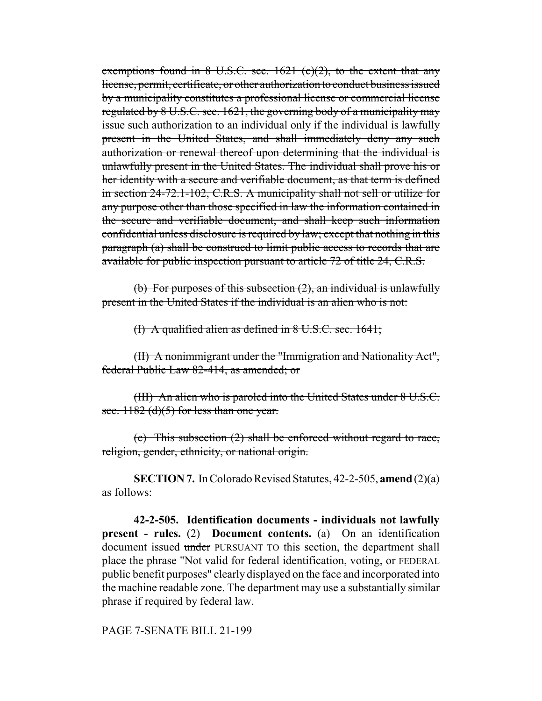exemptions found in  $8$  U.S.C. sec. 1621 (c)(2), to the extent that any license, permit, certificate, or other authorization to conduct business issued by a municipality constitutes a professional license or commercial license regulated by 8 U.S.C. sec. 1621, the governing body of a municipality may issue such authorization to an individual only if the individual is lawfully present in the United States, and shall immediately deny any such authorization or renewal thereof upon determining that the individual is unlawfully present in the United States. The individual shall prove his or her identity with a secure and verifiable document, as that term is defined in section 24-72.1-102, C.R.S. A municipality shall not sell or utilize for any purpose other than those specified in law the information contained in the secure and verifiable document, and shall keep such information confidential unless disclosure is required by law; except that nothing in this paragraph (a) shall be construed to limit public access to records that are available for public inspection pursuant to article 72 of title 24, C.R.S.

(b) For purposes of this subsection (2), an individual is unlawfully present in the United States if the individual is an alien who is not:

(I) A qualified alien as defined in 8 U.S.C. sec. 1641;

(II) A nonimmigrant under the "Immigration and Nationality Act", federal Public Law 82-414, as amended; or

(III) An alien who is paroled into the United States under 8 U.S.C. sec.  $1182$  (d)(5) for less than one year.

(c) This subsection (2) shall be enforced without regard to race, religion, gender, ethnicity, or national origin.

**SECTION 7.** In Colorado Revised Statutes, 42-2-505, **amend** (2)(a) as follows:

**42-2-505. Identification documents - individuals not lawfully present - rules.** (2) **Document contents.** (a) On an identification document issued under PURSUANT TO this section, the department shall place the phrase "Not valid for federal identification, voting, or FEDERAL public benefit purposes" clearly displayed on the face and incorporated into the machine readable zone. The department may use a substantially similar phrase if required by federal law.

PAGE 7-SENATE BILL 21-199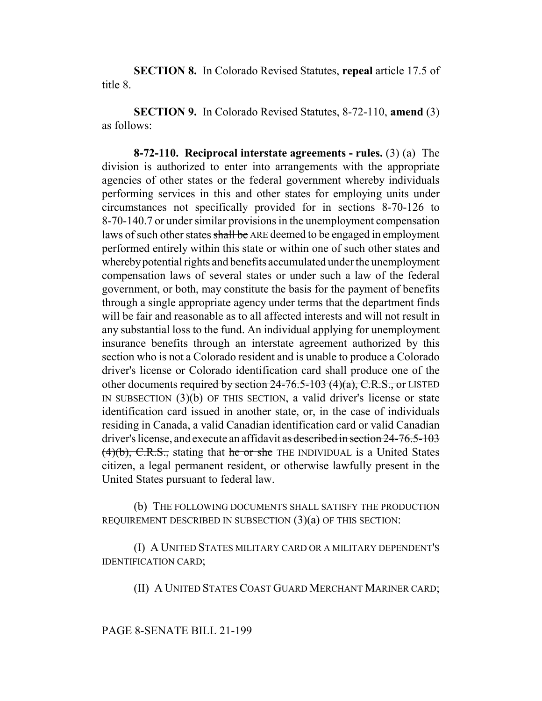**SECTION 8.** In Colorado Revised Statutes, **repeal** article 17.5 of title 8.

**SECTION 9.** In Colorado Revised Statutes, 8-72-110, **amend** (3) as follows:

**8-72-110. Reciprocal interstate agreements - rules.** (3) (a) The division is authorized to enter into arrangements with the appropriate agencies of other states or the federal government whereby individuals performing services in this and other states for employing units under circumstances not specifically provided for in sections 8-70-126 to 8-70-140.7 or under similar provisions in the unemployment compensation laws of such other states shall be ARE deemed to be engaged in employment performed entirely within this state or within one of such other states and whereby potential rights and benefits accumulated under the unemployment compensation laws of several states or under such a law of the federal government, or both, may constitute the basis for the payment of benefits through a single appropriate agency under terms that the department finds will be fair and reasonable as to all affected interests and will not result in any substantial loss to the fund. An individual applying for unemployment insurance benefits through an interstate agreement authorized by this section who is not a Colorado resident and is unable to produce a Colorado driver's license or Colorado identification card shall produce one of the other documents required by section  $24-76.5-103$  (4)(a), C.R.S., or LISTED IN SUBSECTION (3)(b) OF THIS SECTION, a valid driver's license or state identification card issued in another state, or, in the case of individuals residing in Canada, a valid Canadian identification card or valid Canadian driver's license, and execute an affidavit as described in section 24-76.5-103  $(4)(b)$ , C.R.S., stating that he or she THE INDIVIDUAL is a United States citizen, a legal permanent resident, or otherwise lawfully present in the United States pursuant to federal law.

(b) THE FOLLOWING DOCUMENTS SHALL SATISFY THE PRODUCTION REQUIREMENT DESCRIBED IN SUBSECTION (3)(a) OF THIS SECTION:

(I) A UNITED STATES MILITARY CARD OR A MILITARY DEPENDENT'S IDENTIFICATION CARD;

(II) A UNITED STATES COAST GUARD MERCHANT MARINER CARD;

PAGE 8-SENATE BILL 21-199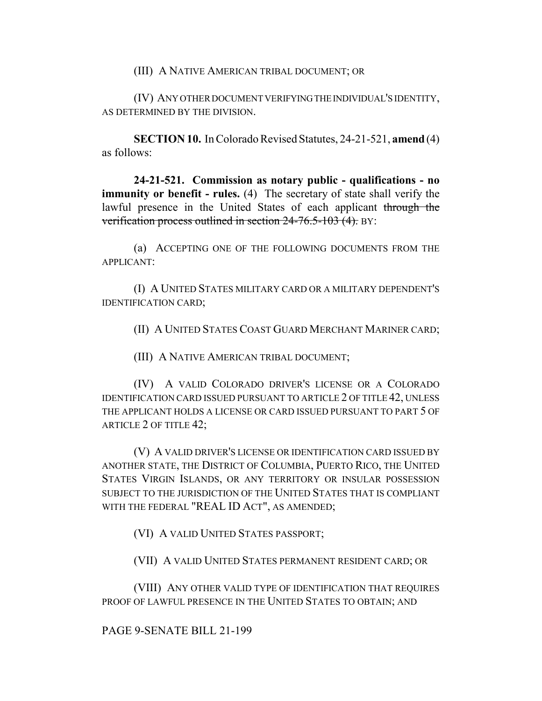(III) A NATIVE AMERICAN TRIBAL DOCUMENT; OR

(IV) ANY OTHER DOCUMENT VERIFYING THE INDIVIDUAL'S IDENTITY, AS DETERMINED BY THE DIVISION.

**SECTION 10.** In Colorado Revised Statutes, 24-21-521, **amend** (4) as follows:

**24-21-521. Commission as notary public - qualifications - no immunity or benefit - rules.** (4) The secretary of state shall verify the lawful presence in the United States of each applicant through the verification process outlined in section 24-76.5-103 (4). BY:

(a) ACCEPTING ONE OF THE FOLLOWING DOCUMENTS FROM THE APPLICANT:

(I) A UNITED STATES MILITARY CARD OR A MILITARY DEPENDENT'S IDENTIFICATION CARD;

(II) A UNITED STATES COAST GUARD MERCHANT MARINER CARD;

(III) A NATIVE AMERICAN TRIBAL DOCUMENT;

(IV) A VALID COLORADO DRIVER'S LICENSE OR A COLORADO IDENTIFICATION CARD ISSUED PURSUANT TO ARTICLE 2 OF TITLE 42, UNLESS THE APPLICANT HOLDS A LICENSE OR CARD ISSUED PURSUANT TO PART 5 OF ARTICLE 2 OF TITLE 42;

(V) A VALID DRIVER'S LICENSE OR IDENTIFICATION CARD ISSUED BY ANOTHER STATE, THE DISTRICT OF COLUMBIA, PUERTO RICO, THE UNITED STATES VIRGIN ISLANDS, OR ANY TERRITORY OR INSULAR POSSESSION SUBJECT TO THE JURISDICTION OF THE UNITED STATES THAT IS COMPLIANT WITH THE FEDERAL "REAL ID ACT", AS AMENDED;

(VI) A VALID UNITED STATES PASSPORT;

(VII) A VALID UNITED STATES PERMANENT RESIDENT CARD; OR

(VIII) ANY OTHER VALID TYPE OF IDENTIFICATION THAT REQUIRES PROOF OF LAWFUL PRESENCE IN THE UNITED STATES TO OBTAIN; AND

PAGE 9-SENATE BILL 21-199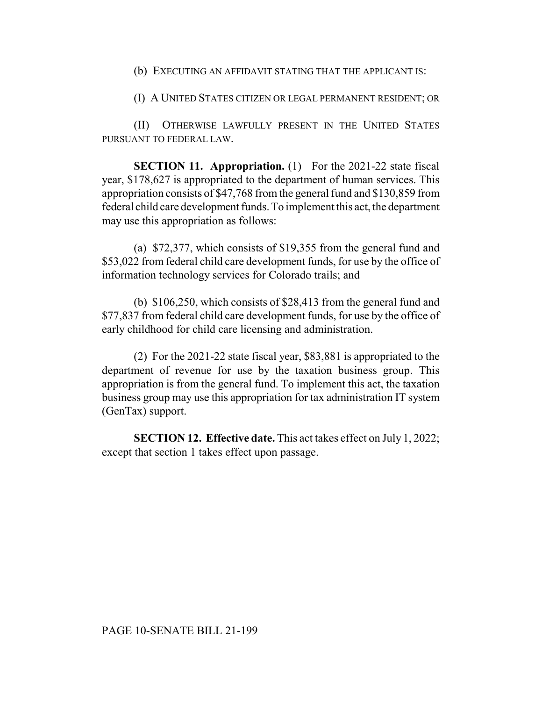(b) EXECUTING AN AFFIDAVIT STATING THAT THE APPLICANT IS:

(I) A UNITED STATES CITIZEN OR LEGAL PERMANENT RESIDENT; OR

(II) OTHERWISE LAWFULLY PRESENT IN THE UNITED STATES PURSUANT TO FEDERAL LAW.

**SECTION 11. Appropriation.** (1) For the 2021-22 state fiscal year, \$178,627 is appropriated to the department of human services. This appropriation consists of \$47,768 from the general fund and \$130,859 from federal child care development funds. To implement this act, the department may use this appropriation as follows:

(a) \$72,377, which consists of \$19,355 from the general fund and \$53,022 from federal child care development funds, for use by the office of information technology services for Colorado trails; and

(b) \$106,250, which consists of \$28,413 from the general fund and \$77,837 from federal child care development funds, for use by the office of early childhood for child care licensing and administration.

(2) For the 2021-22 state fiscal year, \$83,881 is appropriated to the department of revenue for use by the taxation business group. This appropriation is from the general fund. To implement this act, the taxation business group may use this appropriation for tax administration IT system (GenTax) support.

**SECTION 12. Effective date.** This act takes effect on July 1, 2022; except that section 1 takes effect upon passage.